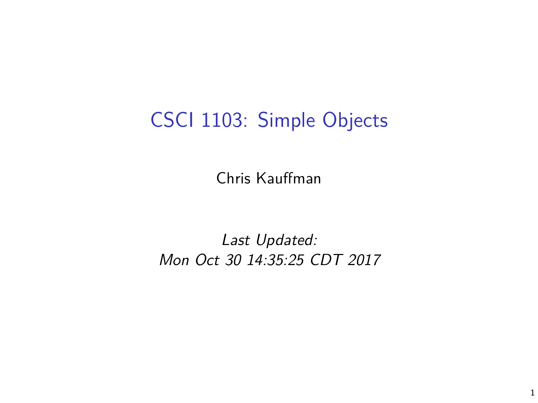## CSCI 1103: Simple Objects

Chris Kauffman

Last Updated: Mon Oct 30 14:35:25 CDT 2017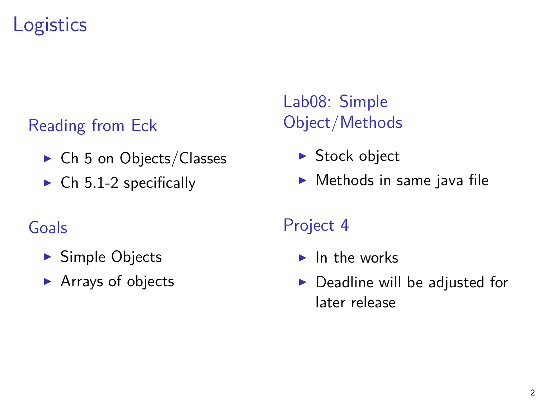## **Logistics**

#### Reading from Eck

- $\triangleright$  Ch 5 on Objects/Classes
- $\triangleright$  Ch 5.1-2 specifically

#### Goals

- $\blacktriangleright$  Simple Objects
- $\blacktriangleright$  Arrays of objects

#### Lab08: Simple Object/Methods

- $\triangleright$  Stock object
- $\blacktriangleright$  Methods in same java file

#### Project 4

- $\blacktriangleright$  In the works
- $\triangleright$  Deadline will be adjusted for later release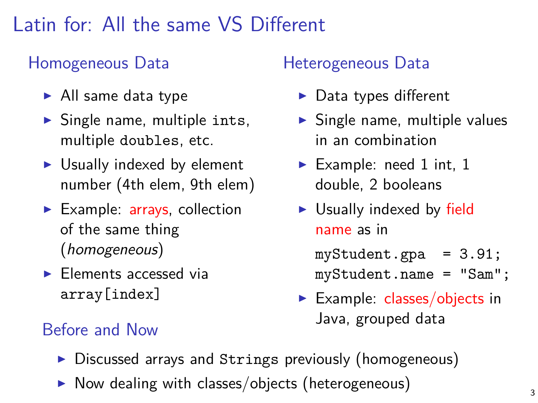## Latin for: All the same VS Different

#### Homogeneous Data

- $\blacktriangleright$  All same data type
- $\blacktriangleright$  Single name, multiple ints, multiple doubles, etc.
- $\triangleright$  Usually indexed by element number (4th elem, 9th elem)
- $\blacktriangleright$  Example: arrays, collection of the same thing (homogeneous)
- $\blacktriangleright$  Elements accessed via array[index]

#### Heterogeneous Data

- $\blacktriangleright$  Data types different
- $\triangleright$  Single name, multiple values in an combination
- Example: need 1 int, 1 double, 2 booleans
- $\triangleright$  Usually indexed by field name as in

myStudent.gpa = 3.91; myStudent.name = "Sam";

- Example: classes/objects in Java, grouped data Before and Now
	- $\triangleright$  Discussed arrays and Strings previously (homogeneous)
	- $\triangleright$  Now dealing with classes/objects (heterogeneous)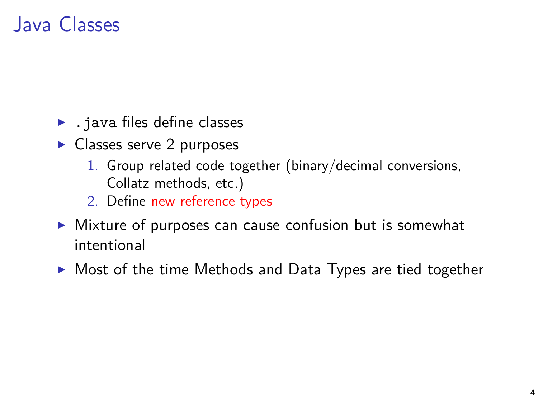## Java Classes

- $\blacktriangleright$  . java files define classes
- $\blacktriangleright$  Classes serve 2 purposes
	- 1. Group related code together (binary/decimal conversions, Collatz methods, etc.)
	- 2. Define new reference types
- $\triangleright$  Mixture of purposes can cause confusion but is somewhat intentional
- $\triangleright$  Most of the time Methods and Data Types are tied together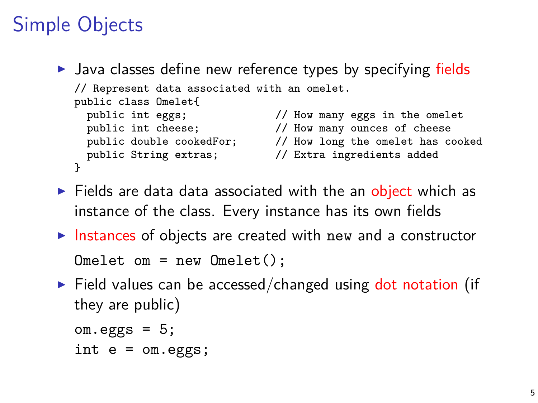# Simple Objects

```
\triangleright Java classes define new reference types by specifying fields
   // Represent data associated with an omelet.
   public class Omelet{<br>public int eggs;
                              \frac{1}{2} How many eggs in the omelet
     public int cheese; \frac{1}{100} // How many ounces of cheese
     public double cookedFor; // How long the omelet has cooked<br>public String extras; // Extra ingredients added
     public String extras;
   }
```
- $\triangleright$  Fields are data data associated with the an object which as instance of the class. Every instance has its own fields
- Instances of objects are created with new and a constructor  $Omelet$  om = new  $Omelet()$ :
- $\triangleright$  Field values can be accessed/changed using dot notation (if they are public)

```
om.eggs = 5;int e = om.eggs;
```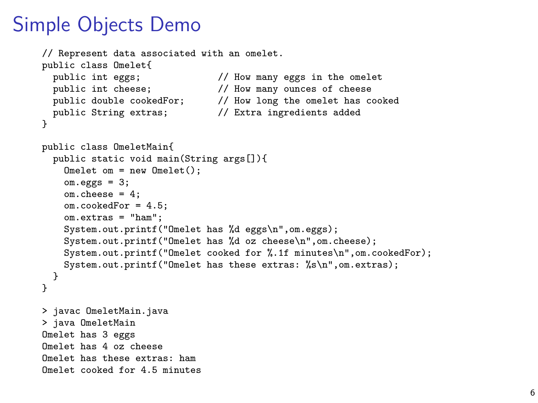### Simple Objects Demo

```
// Represent data associated with an omelet.
public class Omelet{<br>public int eggs:
                                  \frac{1}{2} How many eggs in the omelet
  public int cheese; // How many ounces of cheese<br>public double cookedFor; // How long the omelet has c
                                  // How long the omelet has cooked
  public String extras; // Extra ingredients added
}
public class OmeletMain{
  public static void main(String args[]){
    Omelet om = new Omelet();
    om.eegs = 3;
    om. cheese = 4:
    om.cookedFor = 4.5;
    om.extras = "ham";
    System.out.printf("Omelet has %d eggs\n",om.eggs);
    System.out.printf("Omelet has %d oz cheese\n",om.cheese);
    System.out.printf("Omelet cooked for %.1f minutes\n",om.cookedFor);
    System.out.printf("Omelet has these extras: %s\n",om.extras);
  }
}
> javac OmeletMain.java
> java OmeletMain
Omelet has 3 eggs
Omelet has 4 oz cheese
Omelet has these extras: ham
Omelet cooked for 4.5 minutes
```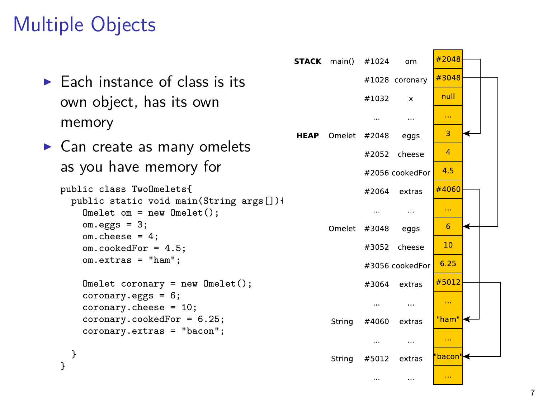# Multiple Objects

|                                                                     |             | <b>STACK</b> main() | #1024    | om              | #2048              |  |
|---------------------------------------------------------------------|-------------|---------------------|----------|-----------------|--------------------|--|
| $\blacktriangleright$ Each instance of class is its                 |             |                     |          | #1028 coronary  | #3048              |  |
| own object, has its own                                             |             |                     | #1032    | $\mathsf{x}$    | null               |  |
| memory                                                              |             |                     | $\cdots$ | $\cdots$        | $\cdots$           |  |
| $\triangleright$ Can create as many omelets                         | <b>HEAP</b> | Omelet              | #2048    | eggs            | 3                  |  |
| as you have memory for                                              |             |                     |          | #2052 cheese    | 4                  |  |
|                                                                     |             |                     |          | #2056 cookedFor | 4.5                |  |
| public class TwoOmelets{<br>public static void main(String args[])+ |             |                     | #2064    | extras          | #4060              |  |
| $Omelet om = new Onelet()$ :                                        |             |                     | $\cdots$ | $\cdots$        | $\ldots$           |  |
| $om.eggs = 3;$<br>$om. cheese = 4;$                                 |             | Omelet              | #3048    | eggs            | 6                  |  |
| $om.cookedFor = 4.5$ ;<br>$om.$ extras = $"ham":$                   |             |                     |          | #3052 cheese    | 10                 |  |
|                                                                     |             |                     |          | #3056 cookedFor | 6.25               |  |
| $Omelet coronary = new Onelet()$ ;<br>$coronary. eggs = 6;$         |             |                     | #3064    | extras          | #5012              |  |
| $coronary. cheese = 10;$                                            |             |                     | $\cdots$ | $\cdots$        | $\cdots$           |  |
| $coronary.cookedFor = 6.25;$<br>coronary.extras = "bacon";          |             | String              | #4060    | extras          | "ham" <del>⊲</del> |  |
|                                                                     |             |                     |          | $\cdots$        | $\ldots$           |  |
|                                                                     |             | String              | #5012    | extras          | 'bacon"l<          |  |
|                                                                     |             |                     | $\cdots$ | $\cdots$        | $\cdots$           |  |

٠  $\leftrightarrow$  $\overline{\mathbf{6}}$ ↞  $\overline{10}$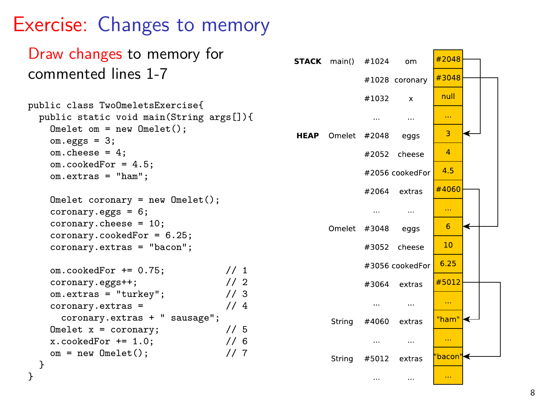## Exercise: Changes to memory

}

```
Draw changes to memory for
                                                                                            #2048STACK main() #1024om
commented lines 1-7
                                                                                            #3048
                                                                           #1028 coronary
                                                                                             null
                                                                            #1032
                                                                                      ¥
public class TwoOmeletsExercise{
  public static void main(String args[]){
     Omelet om = new Omelet();
                                                                                              \overline{3}HEAP Omelet
                                                                           #2048
                                                                                    eggs
     om.eggs = 3;
     om.cheese = 4;
                                                                                              \overline{4}#2052 cheese
     om.cookedFor = 4.5;
                                                                                             4.5#2056 cookedFor
     om.extras = "ham";
                                                                                            #4060
                                                                           #2064 extras
     Omelet coronary = new Omelet();
     coronary. ergs = 6:
                                                                             \cdots\cdotscoronary.cheese = 10;
                                                                                              6\overline{6}#3048
                                                                                                  ←
                                                                   Omelet
                                                                                    eggs
     coronary.cookedFor = 6.25;
                                                                                             10coronary.extras = "bacon";
                                                                            #3052 cheese
                                                                                            6.25#3056 cookedFor
     om.cookedFor += 0.75; // 1<br>coronarv.eggs++: // 2
     coronary.eggs++;
                                                                                            #5012
                                                                           #3064 extras
     om.extras = "turkey"; \frac{1}{2} // 3<br>coronary.extras = \frac{1}{2} // 4
                                                                                             \sim .
     coronary. \text{extras} =\ddotsccoronary.extras + " sausage";
                                                                                            "ham"
                                                                    String
                                                                           #4060
                                                                                   extras
     Omelet x = \text{coronary}; // 5<br>x.\text{cookedFor } += 1.0; // 6
     x.\text{cookedFor } += 1.0:
                                                                                     \cdotsom = new Omelet(); // 7
                                                                           #5012
                                                                                   extras
                                                                                            bacon
                                                                    String
  }
```


 $\cdots$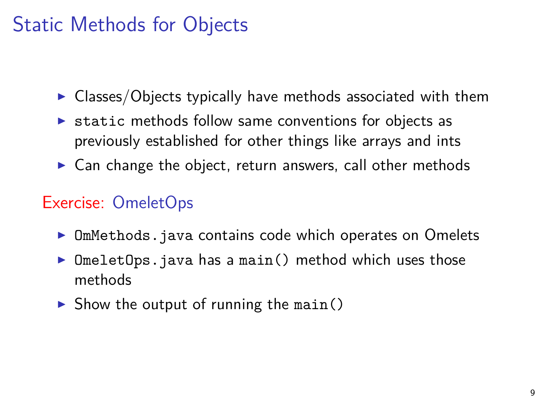## Static Methods for Objects

- $\triangleright$  Classes/Objects typically have methods associated with them
- $\triangleright$  static methods follow same conventions for objects as previously established for other things like arrays and ints
- $\triangleright$  Can change the object, return answers, call other methods

#### Exercise: OmeletOps

- $\triangleright$  OmMethods. java contains code which operates on Omelets
- $Omega$  DmeletOps.java has a main() method which uses those methods
- $\triangleright$  Show the output of running the main()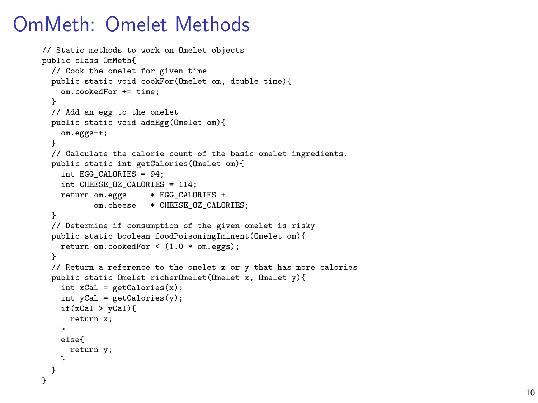### OmMeth: Omelet Methods

```
// Static methods to work on Omelet objects
public class OmMeth{
 // Cook the omelet for given time
 public static void cookFor(Omelet om, double time){
    om.cookedFor += time;
  }
 // Add an egg to the omelet
 public static void addEgg(Omelet om){
    om.eggs++;
  }
 // Calculate the calorie count of the basic omelet ingredients.
 public static int getCalories(Omelet om){
    int EGG_CALORIES = 94:
    int CHEESE_OZ_CALORIES = 114;
    return om.eggs * EGG CALORIES +
           om.cheese * CHEESE_OZ_CALORIES;
  }
 // Determine if consumption of the given omelet is risky
 public static boolean foodPoisoningIminent(Omelet om){
   return om.cookedFor < (1.0 * om.eggs);
  }
 // Return a reference to the omelet x or y that has more calories
 public static Omelet richerOmelet(Omelet x, Omelet y){
    int xCal = getCalories(x);
    int vCal = getCalories(v):
    if(xCal > yCal){
      return x;
    }
    else{
      return y;
   }
 }
\mathbf{r}
```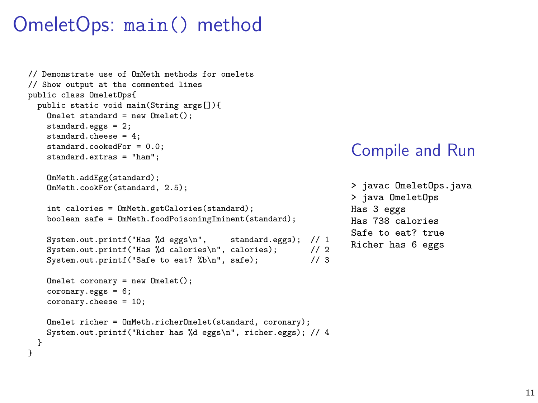## OmeletOps: main() method

```
// Demonstrate use of OmMeth methods for omelets
// Show output at the commented lines
public class OmeletOps{
  public static void main(String args[]){
    Omelet standard = new Omelet();
    standard.eggs = 2;
    standard.cheese = 4;
    standard.cookedFor = 0.0;
    standard.extras = "ham";
    OmMeth.addEgg(standard);
    OmMeth.cookFor(standard, 2.5);
    int calories = 0mMeth.getCalories(standard);
    boolean safe = OmMeth.foodPoisoningIminent(standard);
    System.out.printf("Has %d eggs\n", standard.eggs); // 1
    System.out.printf("Has %d calories\n", calories); // 2<br>System out.printf("Safe to eat? %b\n", safe); // 3System.out.printf("Safe to eat? %b\n", safe);
    Omegacoronary = new Omega(t):
    coronary.eggs = 6;
    coronary.cheese = 10;
    Omelet richer = OmMeth.richerOmelet(standard, coronary);
    System.out.printf("Richer has %d eggs\n", richer.eggs); // 4
  }
}
```
#### Compile and Run

```
> javac OmeletOps.java
> java OmeletOps
Has 3 eggs
Has 738 calories
Safe to eat? true
Richer has 6 eggs
```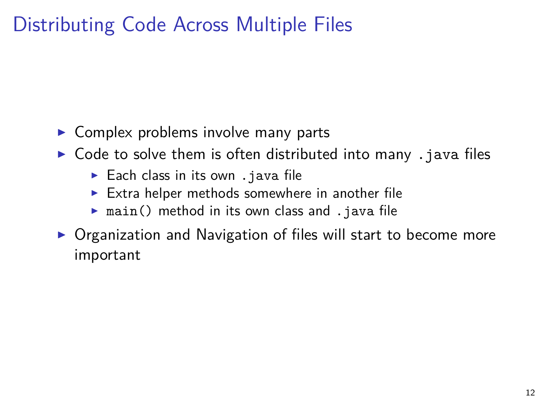## Distributing Code Across Multiple Files

- $\triangleright$  Complex problems involve many parts
- $\triangleright$  Code to solve them is often distributed into many . java files
	- $\blacktriangleright$  Each class in its own . java file
	- $\triangleright$  Extra helper methods somewhere in another file
	- $\triangleright$  main() method in its own class and . java file
- $\triangleright$  Organization and Navigation of files will start to become more important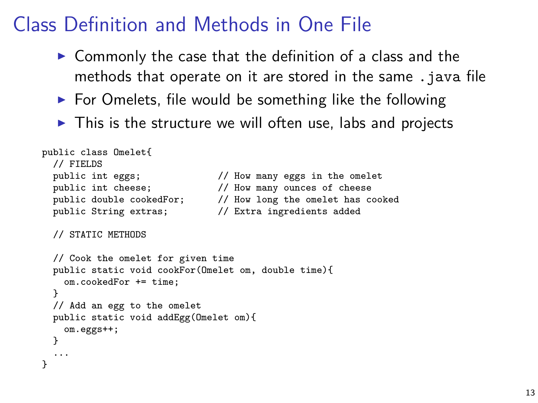## Class Definition and Methods in One File

- $\triangleright$  Commonly the case that the definition of a class and the methods that operate on it are stored in the same . java file
- $\triangleright$  For Omelets, file would be something like the following
- $\triangleright$  This is the structure we will often use, labs and projects

```
public class Omelet{
  // FIELDS<br>public int eggs;
  public int eggs; \frac{1}{100} // How many eggs in the omelet public int cheese: \frac{1}{100} // How many ounces of cheese
                                        // How many ounces of cheese
  public double cookedFor; // How long the omelet has cooked<br>public String extras: // Extra ingredients added
  public String extras;
  // STATIC METHODS
  // Cook the omelet for given time
  public static void cookFor(Omelet om, double time){
     om.cookedFor += time;
  }
  // Add an egg to the omelet
  public static void addEgg(Omelet om){
     om.eggs++;
  }
  ...
}
```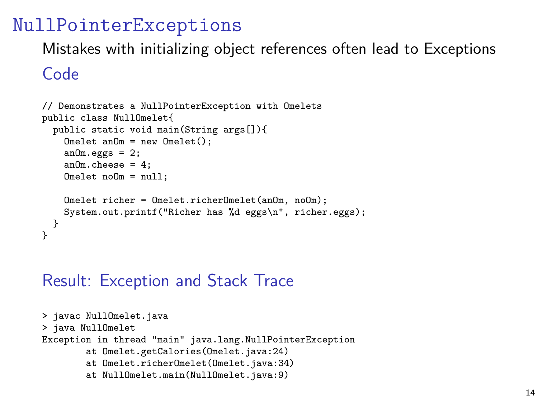#### NullPointerExceptions

Mistakes with initializing object references often lead to Exceptions

#### Code

```
// Demonstrates a NullPointerException with Omelets
public class NullOmelet{
  public static void main(String args[]){
    Omelet anOm = new Onelet():
    anOm.eggs = 2;
    an0m.cheese = 4:
   Omelet noOm = null;
    Omelet richer = Omelet.richerOmelet(anOm, noOm);
    System.out.printf("Richer has %d eggs\n", richer.eggs);
  }
}
```
#### Result: Exception and Stack Trace

```
> javac NullOmelet.java
> java NullOmelet
Exception in thread "main" java.lang.NullPointerException
        at Omelet.getCalories(Omelet.java:24)
        at Omelet.richerOmelet(Omelet.java:34)
        at NullOmelet.main(NullOmelet.java:9)
```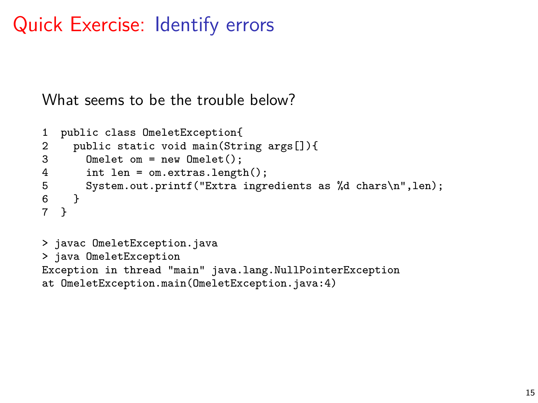## Quick Exercise: Identify errors

What seems to be the trouble below?

```
1 public class OmeletException{<br>2 public static void main(Str:
2 public static void main(String args[]){<br>3 Omelet om = new Omelet();
3 Omelet om = new Omelet();<br>4 int len = om.extras.lengt
4 int len = om.extras.length();<br>5 System.out.printf("Extra ingr
5 System.out.printf("Extra ingredients as %d chars\n",len);<br>6 }
\begin{matrix} 6 & 3 \\ 7 & 1 \end{matrix}7 }
> javac OmeletException.java
> java OmeletException
Exception in thread "main" java.lang.NullPointerException
at OmeletException.main(OmeletException.java:4)
```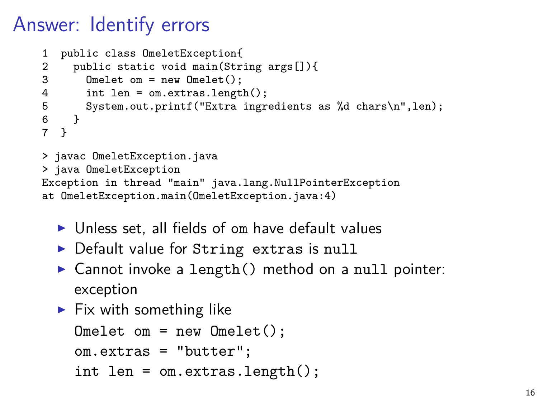## Answer: Identify errors

```
1 public class OmeletException{
2 public static void main(String args[]){<br>3 Omelet om = new Omelet():
3 Omelet om = new Omelet();<br>4 int len = om.extras.lengt
4 int len = om.extras.length();<br>5 System.out.printf("Extra ingr
5 System.out.printf("Extra ingredients as %d chars\n",len);<br>6 }
\begin{matrix}6\\7\end{matrix} }
   7 }
> javac OmeletException.java
> java OmeletException
Exception in thread "main" java.lang.NullPointerException
at OmeletException.main(OmeletException.java:4)
```
- $\triangleright$  Unless set, all fields of om have default values
- $\triangleright$  Default value for String extras is null
- $\triangleright$  Cannot invoke a length() method on a null pointer: exception
- $\blacktriangleright$  Fix with something like

```
Omelet om = new Omelet();
om.extras = "butter";
int len = om.extras.length();
```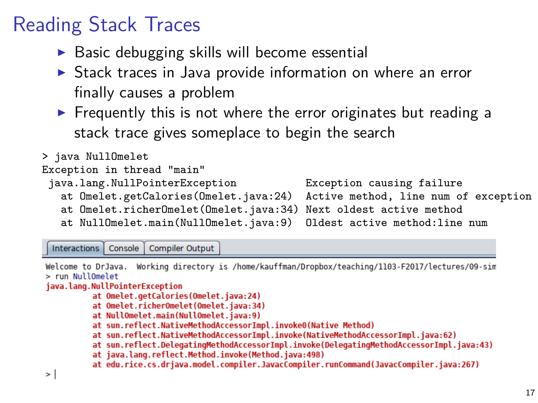## Reading Stack Traces

- $\triangleright$  Basic debugging skills will become essential
- $\triangleright$  Stack traces in Java provide information on where an error finally causes a problem
- $\triangleright$  Frequently this is not where the error originates but reading a stack trace gives someplace to begin the search

#### > java NullOmelet

```
Exception in thread "main"
```
- java.lang.NullPointerException Exception causing failure
	-

- at Omelet.getCalories(Omelet.java:24) Active method, line num of exception at Omelet.richerOmelet(Omelet.java:34)
- at NullOmelet.main(NullOmelet.java:9) Oldest active method:line num

Interactions | Console | Compiler Output

```
Working directory is /home/kauffman/Dropbox/teaching/1103-F2017/lectures/09-sim
Welcome to DrJava.
> run NullOmelet
java.lang.NullPointerException
          at Omelet.getCalories(Omelet.java:24)
          at Omelet.richerOmelet(Omelet.java:34)
          at NullOmelet.main(NullOmelet.iava:9)
          at sun.reflect.NativeMethodAccessorImpl.invoke0(Native Method)
          at sun.reflect.NativeMethodAccessorImpl.invoke(NativeMethodAccessorImpl.java:62)
          at sun.reflect.DelegatingMethodAccessorImpl.invoke(DelegatingMethodAccessorImpl.java:43)
          at java.lang.reflect.Method.invoke(Method.java:498)
          at edu.rice.cs.drjava.model.compiler.JavacCompiler.runCommand(JavacCompiler.java:267)
\, > \,
```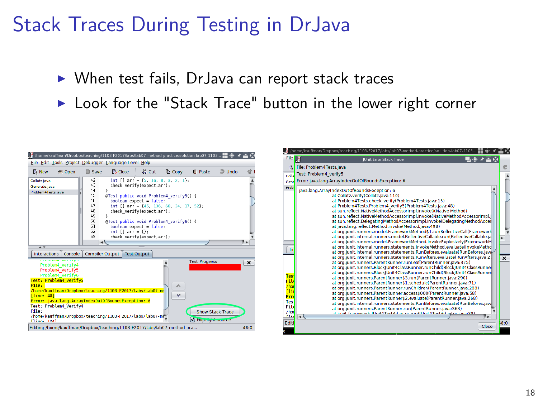## Stack Traces During Testing in DrJava

- $\triangleright$  When test fails, DrJava can report stack traces
- $\triangleright$  Look for the "Stack Trace" button in the lower right corner

| (home/kauffman/Dropbox/teaching/1103-F2017/labs/lab07-method-practice/solution-lab07-1103 물을 좋                                                                                                                                                                                                                                                                       |                                                                                       |                                                                                                                                                                   |                                                                                     |                                                                                                                                                                                                                                                                                                                                                                                                                                   |                                          |                         |                         |
|----------------------------------------------------------------------------------------------------------------------------------------------------------------------------------------------------------------------------------------------------------------------------------------------------------------------------------------------------------------------|---------------------------------------------------------------------------------------|-------------------------------------------------------------------------------------------------------------------------------------------------------------------|-------------------------------------------------------------------------------------|-----------------------------------------------------------------------------------------------------------------------------------------------------------------------------------------------------------------------------------------------------------------------------------------------------------------------------------------------------------------------------------------------------------------------------------|------------------------------------------|-------------------------|-------------------------|
| File Edit Tools Project Debugger Language Level Help                                                                                                                                                                                                                                                                                                                 |                                                                                       |                                                                                                                                                                   |                                                                                     |                                                                                                                                                                                                                                                                                                                                                                                                                                   |                                          |                         |                         |
| <b>D.</b> New<br>S Open                                                                                                                                                                                                                                                                                                                                              | Save                                                                                  | E <sub>v</sub> Close                                                                                                                                              | X Cut                                                                               | <b>D</b> Copy                                                                                                                                                                                                                                                                                                                                                                                                                     | ff Paste                                 | $\supseteq$ Undo        |                         |
| Collatz is va<br>Generate.iava<br>Problem4Tests.iava                                                                                                                                                                                                                                                                                                                 | 42<br>48<br>44<br>45<br>46<br>47<br>48<br>49<br>50<br>51<br>52<br>53<br>$\rightarrow$ | @Test public void Problem4 verify5() {<br>boolean expect - false:<br>١<br>@Test public void Problem4 verify6() {<br>boolean expect = false:<br>$int 11 arr = 4$ : | check verify(expect.arr);<br>check verify(expect,arr);<br>check verify(expect.arr): | int $\begin{bmatrix} 1 & \arccos{1} \\ \arccos{1} & \arccos{1} \\ \arccos{1} & \arccos{1} \\ \arccos{1} & \arccos{1} \\ \arccos{1} & \arccos{1} \\ \arccos{1} & \arccos{1} \\ \arccos{1} & \arccos{1} \\ \arccos{1} & \arccos{1} \\ \arccos{1} & \arccos{1} \\ \arccos{1} & \arccos{1} \\ \arccos{1} & \arccos{1} \\ \arccos{1} & \arccos{1} \\ \arccos{1} & \arccos{1} \\ \arccos{1}$<br>int [] arr = {45, 136, 68, 34, 17, 52}; |                                          |                         | ٠.                      |
| $\overline{1}$                                                                                                                                                                                                                                                                                                                                                       |                                                                                       |                                                                                                                                                                   |                                                                                     |                                                                                                                                                                                                                                                                                                                                                                                                                                   |                                          |                         |                         |
| Console<br>Interactions                                                                                                                                                                                                                                                                                                                                              |                                                                                       | <b>Compiler Output   Test Output</b>                                                                                                                              |                                                                                     |                                                                                                                                                                                                                                                                                                                                                                                                                                   |                                          |                         |                         |
| <b>Froutein verziya</b><br>Problem4 verify4<br>Problem4 verify5<br>Problem4 verify6<br>Test: Problem4 verify5<br>File:<br>/hone/kauffman/Dropbox/teaching/1103-F2017/labs/lab07-no<br>Iline: 481<br>Error: iava.lang.ArravIndexOutOfBoundsException: 6<br>Test: Problem4 Verify4<br>File:<br>/home/kauffman/Dropbox/teaching/1103-F2017/labs/lab07-mm<br>(15no: 124) |                                                                                       |                                                                                                                                                                   |                                                                                     | ٠<br>s.<br>$\sim$                                                                                                                                                                                                                                                                                                                                                                                                                 | <b>Test Progress</b><br>Migroryne source | <b>Show Stack Trace</b> | $\overline{\mathbf{x}}$ |
| Editing /home/kauffman/Dropbox/teaching/1103-F2017/labs/lab07-method-pra                                                                                                                                                                                                                                                                                             |                                                                                       |                                                                                                                                                                   |                                                                                     |                                                                                                                                                                                                                                                                                                                                                                                                                                   |                                          |                         | 48:0                    |

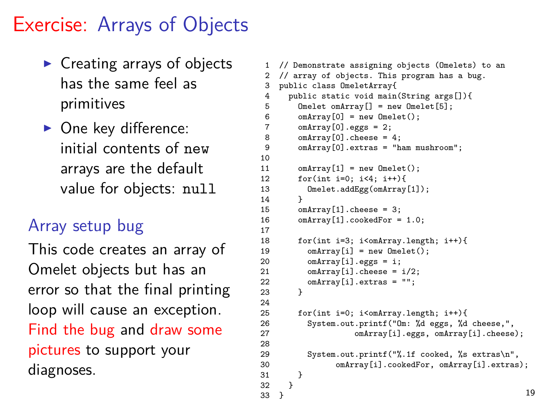## Exercise: Arrays of Objects

- $\triangleright$  Creating arrays of objects has the same feel as primitives
- $\triangleright$  One key difference: initial contents of new arrays are the default value for objects: null

 $10$ <br> $11$ 

 $14$ <br> $15$ 

 $\begin{array}{c} 17 \\ 18 \end{array}$ 

 $\frac{24}{25}$ 

28

 $32$ 

#### Array setup bug

This code creates an array of Omelet objects but has an error so that the final printing loop will cause an exception. Find the bug and draw some pictures to support your diagnoses.

```
// Demonstrate assigning objects (Omelets) to an
 2 // array of objects. This program has a bug.
 3 public class OmeletArray{
 4 public static void main(String args[]){<br>5 0melet omArrav[] = new 0melet[5]:
 5 Omelet omArray [] = new Omelet [5];<br>6 omArray [0] = new Omelet():
 6 omArray[0] = new Omelet();<br>7 omArray[0] \cos = 2:
         omArray[0].eggs = 2;
 8 omArray[0].cheese = 4;<br>9 omArray[0] extras = "b
         9 omArray[0].extras = "ham mushroom";
11 omArray[1] = new Omelet();<br>12 for(int i=0: i<4: i++){
12 for(int i=0; i<4; i++){<br>13 0melet_addEgg(omArray
         Omelet.addEgg(omArray[1]);
         omArray[1].cheese = 3:
16 omArray[1].cookedFor = 1.0;
         18 for(int i=3; i<omArray.length; i++){
19 omArray[i] = new Omelet();<br>20 omArray[i] eggs = i:
20 omArray[i].eggs = i;<br>21 omArray[i].cheese =
21 omArray[i].cheese = i/2;<br>22 omArray[i] extras = i'i'.
           22 omArray[i].extras = "";
23 }
         for(int i=0; i<omArray.length; i++){
26 System.out.printf("Om: %d eggs, %d cheese,",
27 comatrav[i].eggs, omArray[i].cheese);
29 System.out.printf("%.1f cooked, %s extras\n",
30 omArray[i].cookedFor, omArray[i].extras);<br>31 }
\frac{31}{32}33 } 19
```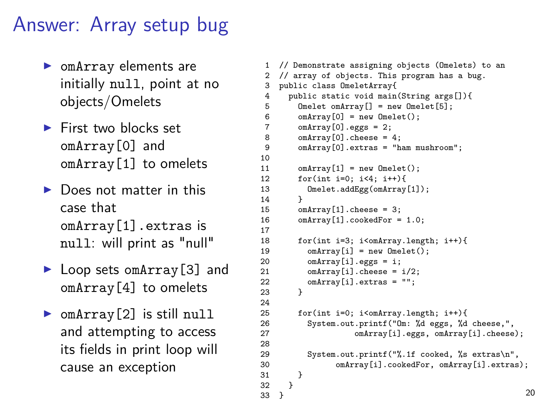### Answer: Array setup bug

- $\triangleright$  omArray elements are initially null, point at no objects/Omelets
- $\blacktriangleright$  First two blocks set omArray[0] and omArray[1] to omelets
- $\blacktriangleright$  Does not matter in this case that omArray[1].extras is null: will print as "null"
- $\blacktriangleright$  Loop sets om Array [3] and omArray[4] to omelets
- $\triangleright$  omArray [2] is still null and attempting to access its fields in print loop will cause an exception

 $32$ 

```
1 // Demonstrate assigning objects (Omelets) to an
 2 // array of objects. This program has a bug.
 3 public class OmeletArray{
 4 public static void main(String args[]){<br>5 0melet omArrav[] = new 0melet[5]:
 5 Omelet omArray [] = new Omelet [5];<br>6 omArray [0] = new Omelet():
 6 omArray[0] = new Omelet();<br>7 omArray[0] eggs = 2:
 7 omArray[0].eggs = 2;<br>8 omArray[0].cheese =
 8 omArray[0].cheese = 4;<br>9 omArray[0] extras = "b
         9 omArray[0].extras = "ham mushroom";
10<br>1111 omArray[1] = new Omelet();<br>12 for(int i=0: i<4: i++){
12 for(int i=0; i<4; i++){<br>13 0melet.addEgg(omArray
          Omelet.addEgg(omArray[1]);
14<br>15omArray[1].cheese = 3:
16 omArray[1].cookedFor = 1.0;
\begin{array}{c} 17 \\ 18 \end{array}18 for(int i=3; i<omArray.length; i++){
19 omArray[i] = new Omelet();<br>20 omArray[i].eggs = i;
20 omArray[i].eggs = i;<br>21 omArrav[i].cheese =
21 omArray[i].cheese = i/2;<br>22 omArray[i].extras = "":
            22 omArray[i].extras = "";
23 }
\frac{24}{25}for(int i=0; i<omArray.length; i++){
26 System.out.printf("Om: %d eggs, %d cheese,",
27 omArray[i].eggs, omArray[i].cheese);
28
29 System.out.printf("%.1f cooked, %s extras\n",
30 omArray[i].cookedFor, omArray[i].extras);
\frac{31}{32}33 } 20
```